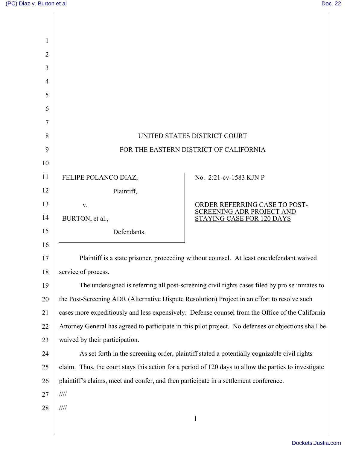| 1              |                                                                                                       |                                                            |
|----------------|-------------------------------------------------------------------------------------------------------|------------------------------------------------------------|
| $\overline{2}$ |                                                                                                       |                                                            |
| 3              |                                                                                                       |                                                            |
| $\overline{4}$ |                                                                                                       |                                                            |
| 5              |                                                                                                       |                                                            |
| 6              |                                                                                                       |                                                            |
| 7              |                                                                                                       |                                                            |
| 8              | UNITED STATES DISTRICT COURT                                                                          |                                                            |
| 9              | FOR THE EASTERN DISTRICT OF CALIFORNIA                                                                |                                                            |
| 10             |                                                                                                       |                                                            |
| 11             | FELIPE POLANCO DIAZ,                                                                                  | No. 2:21-cv-1583 KJN P                                     |
| 12             | Plaintiff,                                                                                            |                                                            |
| 13             | V.                                                                                                    | ORDER REFERRING CASE TO POST-<br>SCREENING ADR PROJECT AND |
| 14             | BURTON, et al.,                                                                                       | STAYING CASE FOR 120 DAYS                                  |
| 15             | Defendants.                                                                                           |                                                            |
| 16             |                                                                                                       |                                                            |
| 17             | Plaintiff is a state prisoner, proceeding without counsel. At least one defendant waived              |                                                            |
| 18             | service of process.                                                                                   |                                                            |
| 19             | The undersigned is referring all post-screening civil rights cases filed by pro se inmates to         |                                                            |
| 20             | the Post-Screening ADR (Alternative Dispute Resolution) Project in an effort to resolve such          |                                                            |
| 21             | cases more expeditiously and less expensively. Defense counsel from the Office of the California      |                                                            |
| 22             | Attorney General has agreed to participate in this pilot project. No defenses or objections shall be  |                                                            |
| 23             | waived by their participation.                                                                        |                                                            |
| 24             | As set forth in the screening order, plaintiff stated a potentially cognizable civil rights           |                                                            |
| 25             | claim. Thus, the court stays this action for a period of 120 days to allow the parties to investigate |                                                            |
| 26             | plaintiff's claims, meet and confer, and then participate in a settlement conference.                 |                                                            |
| 27             | $/ \! / \! / \! / \! /$                                                                               |                                                            |
| 28             | $/ \! / \! / \! / \! /$                                                                               | $\mathbf{1}$                                               |
|                |                                                                                                       |                                                            |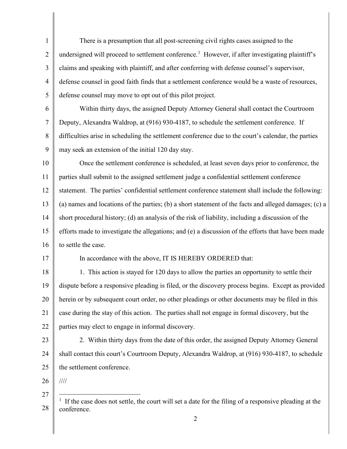<span id="page-1-0"></span>1 2 3 4 5 6 7 8 9 10 11 12 13 14 15 16 17 18 19 20 21 22 23 24 25 26 27 28 There is a presumption that all post-screening civil rights cases assigned to the undersigned will proceed to settlement conference.<sup>[1](#page-1-0)</sup> However, if after investigating plaintiff's claims and speaking with plaintiff, and after conferring with defense counsel's supervisor, defense counsel in good faith finds that a settlement conference would be a waste of resources, defense counsel may move to opt out of this pilot project. Within thirty days, the assigned Deputy Attorney General shall contact the Courtroom Deputy, Alexandra Waldrop, at (916) 930-4187, to schedule the settlement conference. If difficulties arise in scheduling the settlement conference due to the court's calendar, the parties may seek an extension of the initial 120 day stay. Once the settlement conference is scheduled, at least seven days prior to conference, the parties shall submit to the assigned settlement judge a confidential settlement conference statement. The parties' confidential settlement conference statement shall include the following: (a) names and locations of the parties; (b) a short statement of the facts and alleged damages; (c) a short procedural history; (d) an analysis of the risk of liability, including a discussion of the efforts made to investigate the allegations; and (e) a discussion of the efforts that have been made to settle the case. In accordance with the above, IT IS HEREBY ORDERED that: 1. This action is stayed for 120 days to allow the parties an opportunity to settle their dispute before a responsive pleading is filed, or the discovery process begins. Except as provided herein or by subsequent court order, no other pleadings or other documents may be filed in this case during the stay of this action. The parties shall not engage in formal discovery, but the parties may elect to engage in informal discovery. 2. Within thirty days from the date of this order, the assigned Deputy Attorney General shall contact this court's Courtroom Deputy, Alexandra Waldrop, at (916) 930-4187, to schedule the settlement conference. //// <sup>1</sup> If the case does not settle, the court will set a date for the filing of a responsive pleading at the conference.